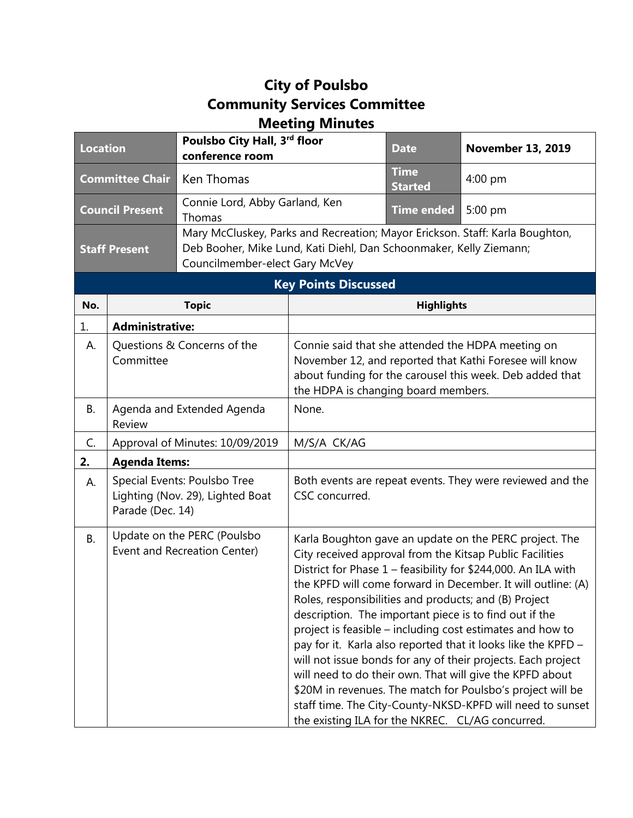## **City of Poulsbo Community Services Committee Meeting Minutes**

| <b>Location</b>                                                                                                              |                                                                                      | Poulsbo City Hall, 3rd floor<br>conference room |                                                                                                                                                                                                                                                                                                                                                                                                                                                                                                                                                                                                                                                                                                                                                                                                                 | <b>Date</b>                                                                  | <b>November 13, 2019</b> |  |  |  |
|------------------------------------------------------------------------------------------------------------------------------|--------------------------------------------------------------------------------------|-------------------------------------------------|-----------------------------------------------------------------------------------------------------------------------------------------------------------------------------------------------------------------------------------------------------------------------------------------------------------------------------------------------------------------------------------------------------------------------------------------------------------------------------------------------------------------------------------------------------------------------------------------------------------------------------------------------------------------------------------------------------------------------------------------------------------------------------------------------------------------|------------------------------------------------------------------------------|--------------------------|--|--|--|
| <b>Committee Chair</b>                                                                                                       |                                                                                      | Ken Thomas                                      |                                                                                                                                                                                                                                                                                                                                                                                                                                                                                                                                                                                                                                                                                                                                                                                                                 | <b>Time</b><br><b>Started</b>                                                | 4:00 pm                  |  |  |  |
| <b>Council Present</b>                                                                                                       |                                                                                      | Connie Lord, Abby Garland, Ken<br>Thomas        |                                                                                                                                                                                                                                                                                                                                                                                                                                                                                                                                                                                                                                                                                                                                                                                                                 | <b>Time ended</b>                                                            | 5:00 pm                  |  |  |  |
| Deb Booher, Mike Lund, Kati Diehl, Dan Schoonmaker, Kelly Ziemann;<br><b>Staff Present</b><br>Councilmember-elect Gary McVey |                                                                                      |                                                 |                                                                                                                                                                                                                                                                                                                                                                                                                                                                                                                                                                                                                                                                                                                                                                                                                 | Mary McCluskey, Parks and Recreation; Mayor Erickson. Staff: Karla Boughton, |                          |  |  |  |
|                                                                                                                              | <b>Key Points Discussed</b>                                                          |                                                 |                                                                                                                                                                                                                                                                                                                                                                                                                                                                                                                                                                                                                                                                                                                                                                                                                 |                                                                              |                          |  |  |  |
| No.                                                                                                                          |                                                                                      | <b>Topic</b>                                    |                                                                                                                                                                                                                                                                                                                                                                                                                                                                                                                                                                                                                                                                                                                                                                                                                 | <b>Highlights</b>                                                            |                          |  |  |  |
| 1.                                                                                                                           | <b>Administrative:</b>                                                               |                                                 |                                                                                                                                                                                                                                                                                                                                                                                                                                                                                                                                                                                                                                                                                                                                                                                                                 |                                                                              |                          |  |  |  |
| А.                                                                                                                           | Questions & Concerns of the<br>Committee                                             |                                                 | Connie said that she attended the HDPA meeting on<br>November 12, and reported that Kathi Foresee will know<br>about funding for the carousel this week. Deb added that<br>the HDPA is changing board members.                                                                                                                                                                                                                                                                                                                                                                                                                                                                                                                                                                                                  |                                                                              |                          |  |  |  |
| В.                                                                                                                           | Agenda and Extended Agenda<br>Review                                                 |                                                 | None.                                                                                                                                                                                                                                                                                                                                                                                                                                                                                                                                                                                                                                                                                                                                                                                                           |                                                                              |                          |  |  |  |
| C.                                                                                                                           | Approval of Minutes: 10/09/2019                                                      |                                                 | M/S/A CK/AG                                                                                                                                                                                                                                                                                                                                                                                                                                                                                                                                                                                                                                                                                                                                                                                                     |                                                                              |                          |  |  |  |
| 2.                                                                                                                           | <b>Agenda Items:</b>                                                                 |                                                 |                                                                                                                                                                                                                                                                                                                                                                                                                                                                                                                                                                                                                                                                                                                                                                                                                 |                                                                              |                          |  |  |  |
| А.                                                                                                                           | Special Events: Poulsbo Tree<br>Lighting (Nov. 29), Lighted Boat<br>Parade (Dec. 14) |                                                 | Both events are repeat events. They were reviewed and the<br>CSC concurred.                                                                                                                                                                                                                                                                                                                                                                                                                                                                                                                                                                                                                                                                                                                                     |                                                                              |                          |  |  |  |
| <b>B.</b>                                                                                                                    | Update on the PERC (Poulsbo<br>Event and Recreation Center)                          |                                                 | Karla Boughton gave an update on the PERC project. The<br>City received approval from the Kitsap Public Facilities<br>District for Phase 1 - feasibility for \$244,000. An ILA with<br>the KPFD will come forward in December. It will outline: (A)<br>Roles, responsibilities and products; and (B) Project<br>description. The important piece is to find out if the<br>project is feasible – including cost estimates and how to<br>pay for it. Karla also reported that it looks like the KPFD -<br>will not issue bonds for any of their projects. Each project<br>will need to do their own. That will give the KPFD about<br>\$20M in revenues. The match for Poulsbo's project will be<br>staff time. The City-County-NKSD-KPFD will need to sunset<br>the existing ILA for the NKREC. CL/AG concurred. |                                                                              |                          |  |  |  |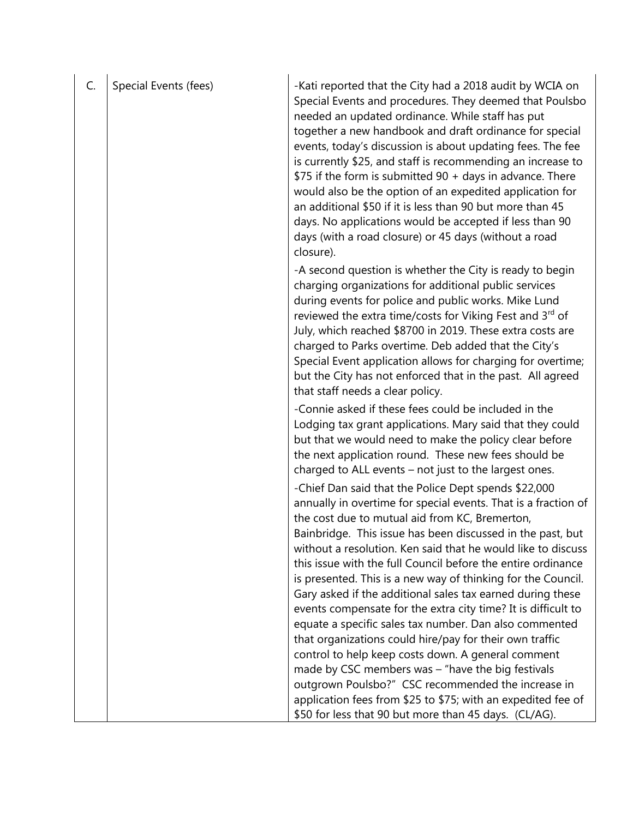| C. | Special Events (fees) | -Kati reported that the City had a 2018 audit by WCIA on<br>Special Events and procedures. They deemed that Poulsbo                                                                                                                                                                                                                                                                                                                                                                                                         |
|----|-----------------------|-----------------------------------------------------------------------------------------------------------------------------------------------------------------------------------------------------------------------------------------------------------------------------------------------------------------------------------------------------------------------------------------------------------------------------------------------------------------------------------------------------------------------------|
|    |                       | needed an updated ordinance. While staff has put<br>together a new handbook and draft ordinance for special<br>events, today's discussion is about updating fees. The fee                                                                                                                                                                                                                                                                                                                                                   |
|    |                       | is currently \$25, and staff is recommending an increase to<br>\$75 if the form is submitted 90 + days in advance. There<br>would also be the option of an expedited application for                                                                                                                                                                                                                                                                                                                                        |
|    |                       | an additional \$50 if it is less than 90 but more than 45<br>days. No applications would be accepted if less than 90<br>days (with a road closure) or 45 days (without a road<br>closure).                                                                                                                                                                                                                                                                                                                                  |
|    |                       | -A second question is whether the City is ready to begin<br>charging organizations for additional public services<br>during events for police and public works. Mike Lund<br>reviewed the extra time/costs for Viking Fest and 3rd of<br>July, which reached \$8700 in 2019. These extra costs are<br>charged to Parks overtime. Deb added that the City's<br>Special Event application allows for charging for overtime;<br>but the City has not enforced that in the past. All agreed<br>that staff needs a clear policy. |
|    |                       | -Connie asked if these fees could be included in the<br>Lodging tax grant applications. Mary said that they could<br>but that we would need to make the policy clear before                                                                                                                                                                                                                                                                                                                                                 |
|    |                       | the next application round. These new fees should be<br>charged to ALL events - not just to the largest ones.                                                                                                                                                                                                                                                                                                                                                                                                               |
|    |                       | -Chief Dan said that the Police Dept spends \$22,000                                                                                                                                                                                                                                                                                                                                                                                                                                                                        |
|    |                       | annually in overtime for special events. That is a fraction of<br>the cost due to mutual aid from KC, Bremerton,                                                                                                                                                                                                                                                                                                                                                                                                            |
|    |                       | Bainbridge. This issue has been discussed in the past, but<br>without a resolution. Ken said that he would like to discuss                                                                                                                                                                                                                                                                                                                                                                                                  |
|    |                       | this issue with the full Council before the entire ordinance                                                                                                                                                                                                                                                                                                                                                                                                                                                                |
|    |                       | is presented. This is a new way of thinking for the Council.<br>Gary asked if the additional sales tax earned during these                                                                                                                                                                                                                                                                                                                                                                                                  |
|    |                       | events compensate for the extra city time? It is difficult to                                                                                                                                                                                                                                                                                                                                                                                                                                                               |
|    |                       | equate a specific sales tax number. Dan also commented                                                                                                                                                                                                                                                                                                                                                                                                                                                                      |
|    |                       | that organizations could hire/pay for their own traffic                                                                                                                                                                                                                                                                                                                                                                                                                                                                     |
|    |                       | control to help keep costs down. A general comment                                                                                                                                                                                                                                                                                                                                                                                                                                                                          |
|    |                       | made by CSC members was $-$ "have the big festivals<br>outgrown Poulsbo?" CSC recommended the increase in                                                                                                                                                                                                                                                                                                                                                                                                                   |
|    |                       | application fees from \$25 to \$75; with an expedited fee of                                                                                                                                                                                                                                                                                                                                                                                                                                                                |
|    |                       | \$50 for less that 90 but more than 45 days. (CL/AG).                                                                                                                                                                                                                                                                                                                                                                                                                                                                       |